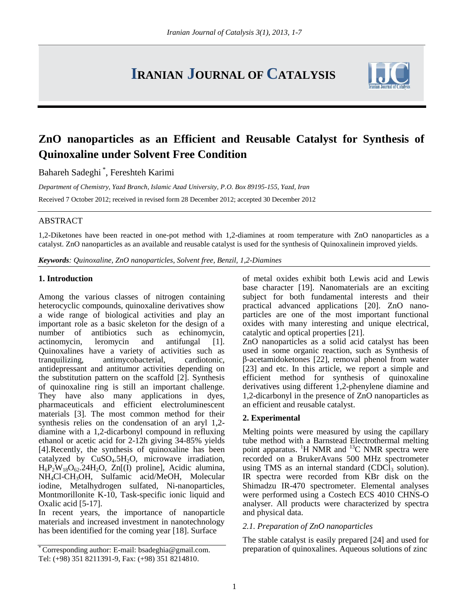# **IRANIAN JOURNAL OF CATALYSIS**



# **ZnO nanoparticles as an Efficient and Reusable Catalyst for Synthesis of Quinoxaline under Solvent Free Condition**

Bahareh Sadeghi \* , Fereshteh Karimi

*Department of Chemistry, Yazd Branch, Islamic Azad University, P.O. Box 89195-155, Yazd, Iran*

Received 7 October 2012; received in revised form 28 December 2012; accepted 30 December 2012

#### ABSTRACT

1,2-Diketones have been reacted in one-pot method with 1,2-diamines at room temperature with ZnO nanoparticles as a catalyst. ZnO nanoparticles as an available and reusable catalyst is used for the synthesis of Quinoxalinein improved yields.

*Keywords: Quinoxaline, ZnO nanoparticles, Solvent free, Benzil, 1,2-Diamines*

#### **1. Introduction**

Among the various classes of nitrogen containing heterocyclic compounds, quinoxaline derivatives show a wide range of biological activities and play an important role as a basic skeleton for the design of a number of antibiotics such as echinomycin, actinomycin, leromycin and antifungal [1]. Quinoxalines have a variety of activities such as tranquilizing, antimycobacterial, cardiotonic, antidepressant and antitumor activities depending on the substitution pattern on the scaffold [2]. Synthesis of quinoxaline ring is still an important challenge. They have also many applications in dyes, pharmaceuticals and efficient electroluminescent materials [3]. The most common method for their synthesis relies on the condensation of an aryl 1,2 diamine with a 1,2-dicarbonyl compound in refluxing ethanol or acetic acid for 2-12h giving 34-85% yields [4].Recently, the synthesis of quinoxaline has been catalyzed by  $CuSO<sub>4</sub>.5H<sub>2</sub>O$ , microwave irradiation,  $H_6P_2W_{18}O_{62}$ .24H<sub>2</sub>O, Zn[(I) proline], Acidic alumina, NH4Cl-CH3OH, Sulfamic acid/MeOH, Molecular iodine, Metalhydrogen sulfated, Ni-nanoparticles, Montmorillonite K-10, Task-specific ionic liquid and Oxalic acid [5-17].

In recent years, the importance of nanoparticle materials and increased investment in nanotechnology has been identified for the coming year [18]. Surface

of metal oxides exhibit both Lewis acid and Lewis base character [19]. Nanomaterials are an exciting subject for both fundamental interests and their practical advanced applications [20]. ZnO nanoparticles are one of the most important functional oxides with many interesting and unique electrical, catalytic and optical properties [21].

ZnO nanoparticles as a solid acid catalyst has been used in some organic reaction, such as Synthesis of β-acetamidoketones [22], removal phenol from water [23] and etc. In this article, we report a simple and efficient method for synthesis of quinoxaline derivatives using different 1,2-phenylene diamine and 1,2-dicarbonyl in the presence of ZnO nanoparticles as an efficient and reusable catalyst.

# **2. Experimental**

Melting points were measured by using the capillary tube method with a Barnstead Electrothermal melting point apparatus. <sup>1</sup>H NMR and <sup>13</sup>C NMR spectra were recorded on a BrukerAvans 500 MHz spectrometer using TMS as an internal standard (CDCl<sub>3</sub> solution). IR spectra were recorded from KBr disk on the Shimadzu IR-470 spectrometer. Elemental analyses were performed using a Costech ECS 4010 CHNS-O analyser. All products were characterized by spectra and physical data.

# *2.1. Preparation of ZnO nanoparticles*

The stable catalyst is easily prepared [24] and used for preparation of quinoxalines. Aqueous solutions of zinc

<sup>\*</sup> Corresponding author: E-mail: [bsadeghia@gmail.com.](mailto:bsadeghia@gmail.com) Tel: (+98) 351 8211391-9, Fax: (+98) 351 8214810.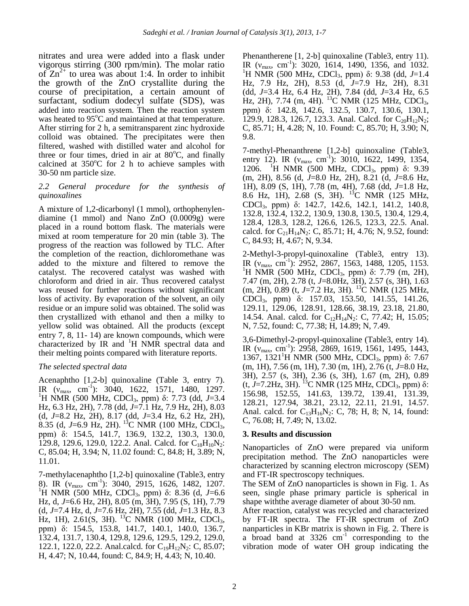nitrates and urea were added into a flask under vigorous stirring (300 rpm/min). The molar ratio of  $\text{Zn}^{2+}$  to urea was about 1:4. In order to inhibit the growth of the ZnO crystallite during the course of precipitation, a certain amount of surfactant, sodium dodecyl sulfate (SDS), was added into reaction system. Then the reaction system was heated to  $95^{\circ}$ C and maintained at that temperature. After stirring for 2 h, a semitransparent zinc hydroxide colloid was obtained. The precipitates were then filtered, washed with distilled water and alcohol for three or four times, dried in air at  $80^{\circ}$ C, and finally calcined at  $350^{\circ}$ C for 2 h to achieve samples with 30-50 nm particle size.

#### *2.2 General procedure for the synthesis of quinoxalines*

A mixture of 1,2-dicarbonyl (1 mmol), orthophenylendiamine (1 mmol) and Nano ZnO (0.0009g) were placed in a round bottom flask. The materials were mixed at room temperature for 20 min (table 3). The progress of the reaction was followed by TLC. After the completion of the reaction, dichloromethane was added to the mixture and filtered to remove the catalyst. The recovered catalyst was washed with chloroform and dried in air. Thus recovered catalyst was reused for further reactions without significant loss of activity. By evaporation of the solvent, an oily residue or an impure solid was obtained. The solid was then crystallized with ethanol and then a milky to yellow solid was obtained. All the products (except entry 7, 8, 11- 14) are known compounds, which were characterized by IR and  $H$  NMR spectral data and their melting points compared with literature reports.

# *The selected spectral data*

Acenaphtho [1,2-b] quinoxaline (Table 3, entry 7). IR (v<sub>max</sub>, cm<sup>-1</sup>): 3040, 1622, 1571, 1480, 1297. <sup>1</sup>H NMR (500 MHz, CDCl<sub>3</sub>, ppm) δ: 7.73 (dd, *J*=3.4 Hz, 6.3 Hz, 2H), 7.78 (dd, *J*=7.1 Hz, 7.9 Hz, 2H), 8.03 (d, *J*=8.2 Hz, 2H), 8.17 (dd, *J*=3.4 Hz, 6.2 Hz, 2H), 8.35 (d, J=6.9 Hz, 2H). <sup>13</sup>C NMR (100 MHz, CDCl<sub>3</sub>, ppm) δ: 154.5, 141.7, 136.9, 132.2, 130.3, 130.0, 129.8, 129.6, 129.0, 122.2. Anal. Calcd. for  $C_{18}H_{10}N_2$ : C, 85.04; H, 3.94; N, 11.02 found: C, 84.8; H, 3.89; N, 11.01.

7-methylacenaphtho [1,2-b] quinoxaline (Table3, entry 8). IR  $(v_{\text{max}}, \text{ cm}^{\text{-1}})$ : 3040, 2915, 1626, 1482, 1207. <sup>1</sup>H NMR (500 MHz, CDCl<sub>3</sub>, ppm) δ: 8.36 (d, *J*=6.6 Hz, d, *J*=6.6 Hz, 2H), 8.05 (m, 3H), 7.95 (S, 1H), 7.79 (d, *J*=7.4 Hz, d, *J*=7.6 Hz, 2H), 7.55 (dd, *J*=1.3 Hz, 8.3 Hz, 1H), 2.61(S, 3H). <sup>13</sup>C NMR (100 MHz, CDCl<sub>3</sub>, ppm) δ: 154.5, 153.8, 141.7, 140.1, 140.0, 136.7, 132.4, 131.7, 130.4, 129.8, 129.6, 129.5, 129.2, 129.0, 122.1, 122.0, 22.2. Anal.calcd. for  $C_{19}H_{12}N_2$ : C, 85.07; H, 4.47; N, 10.44, found: C, 84.9; H, 4.43; N, 10.40.

Phenantherene [1, 2-b] quinoxaline (Table3, entry 11). IR  $(v_{\text{max}}, \text{ cm}^{-1})$ : 3020, 1614, 1490, 1356, and 1032. <sup>1</sup>H NMR (500 MHz, CDCl<sub>3</sub>, ppm) δ: 9.38 (dd, *J*=1.4 Hz, 7.9 Hz, 2H), 8.53 (d, *J*=7.9 Hz, 2H), 8.31 (dd, *J*=3.4 Hz, 6.4 Hz, 2H), 7.84 (dd, *J*=3.4 Hz, 6.5 Hz, 2H), 7.74 (m, 4H). <sup>13</sup>C NMR (125 MHz, CDCl<sub>3</sub>, ppm) δ: 142.8, 142.6, 132.5, 130.7, 130.6, 130.1, 129.9, 128.3, 126.7, 123.3. Anal. Calcd. for  $C_{20}H_{12}N_2$ ; C, 85.71; H, 4.28; N, 10. Found: C, 85.70; H, 3.90; N, 9.8.

7-methyl-Phenanthrene [1,2-b] quinoxaline (Table3, entry 12). IR  $(v_{\text{max}}, \text{ cm}^2)$ : 3010, 1622, 1499, 1354, 1206. <sup>1</sup>H NMR (500 MHz, CDCl<sub>3</sub>, ppm) δ: 9.39 (m, 2H), 8.56 (d, *J*=8.0 Hz, 2H), 8.21 (d, *J*=8.6 Hz, 1H), 8.09 (S, 1H), 7.78 (m, 4H), 7.68 (dd, *J*=1.8 Hz, 8.6 Hz, 1H), 2.68 (S, 3H). <sup>13</sup>C NMR (125 MHz, CDCl3, ppm) δ: 142.7, 142.6, 142.1, 141.2, 140.8, 132.8, 132.4, 132.2, 130.9, 130.8, 130.5, 130.4, 129.4, 128.4, 128.3, 128.2, 126.6, 126.5, 123.3, 22.5. Anal. calcd. for  $C_{21}H_{14}N_2$ : C, 85.71; H, 4.76; N, 9.52, found: C, 84.93; H, 4.67; N, 9.34.

2-Methyl-3-propyl-quinoxaline (Table3, entry 13). IR  $(v_{\text{max}}, \text{ cm}^{-1})$ : 2952, 2867, 1563, 1488, 1205, 1153. <sup>1</sup>H NMR (500 MHz, CDCl<sub>3</sub>, ppm) δ: 7.79 (m, 2H), 7.47 (m, 2H), 2.78 (t, *J*=8.0Hz, 3H), 2.57 (s, 3H), 1.63 (m, 2H), 0.89 (t, J=7.2 Hz, 3H). <sup>13</sup>C NMR (125 MHz, CDCl3, ppm) δ: 157.03, 153.50, 141.55, 141.26, 129.11, 129.06, 128.91, 128.66, 38.19, 23.18, 21.80, 14.54. Anal. calcd. for  $C_{12}H_{14}N_2$ : C, 77.42; H, 15.05; N, 7.52, found: C, 77.38; H, 14.89; N, 7.49.

3,6-Dimethyl-2-propyl-quinoxaline (Table3, entry 14). IR  $(v_{\text{max}}, \text{ cm}^{-1})$ : 2958, 2869, 1619, 1561, 1495, 1443, 1367, 1321<sup>1</sup>H NMR (500 MHz, CDCl<sub>3</sub>, ppm) δ: 7.67 (m, 1H), 7.56 (m, 1H), 7.30 (m, 1H), 2.76 (t, *J*=8.0 Hz, 3H), 2.57 (s, 3H), 2.36 (s, 3H), 1.67 (m, 2H), 0.89 (t,  $J=7.2$ Hz, 3H). <sup>13</sup>C NMR (125 MHz, CDCl<sub>3</sub>, ppm) δ: 156.98, 152.55, 141.63, 139.72, 139.41, 131.39, 128.21, 127.94, 38.21, 23.12, 22.11, 21.91, 14.57. Anal. calcd. for  $C_{13}H_{16}N_2$ : C, 78; H, 8; N, 14, found: C, 76.08; H, 7.49; N, 13.02.

# **3. Results and discussion**

Nanoparticles of ZnO were prepared via uniform precipitation method. The ZnO nanoparticles were characterized by scanning electron microscopy (SEM) and FT-IR spectroscopy techniques.

The SEM of ZnO nanoparticles is shown in Fig. 1. As seen, single phase primary particle is spherical in shape withthe average diameter of about 30-50 nm.

After reaction, catalyst was recycled and characterized by FT-IR spectra. The FT-IR spectrum of ZnO nanparticles in KBr matrix is shown in Fig. 2. There is a broad band at  $3326 \text{ cm}^{-1}$  corresponding to the vibration mode of water OH group indicating the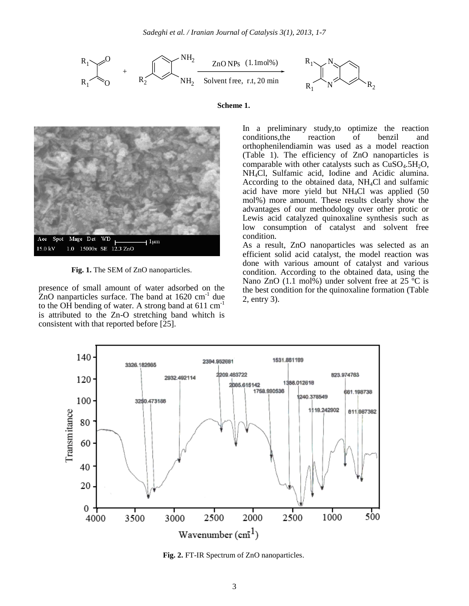





**Fig. 1.** The SEM of ZnO nanoparticles.

presence of small amount of water adsorbed on the ZnO nanparticles surface. The band at  $1620 \text{ cm}^{-1}$  due to the OH bending of water. A strong band at  $611 \text{ cm}^{-1}$ is attributed to the Zn-O stretching band whitch is consistent with that reported before [25].

In a preliminary study,to optimize the reaction conditions,the reaction of benzil and orthophenilendiamin was used as a model reaction (Table 1). The efficiency of ZnO nanoparticles is comparable with other catalysts such as  $CuSO<sub>4</sub>.5H<sub>2</sub>O$ , NH4Cl, Sulfamic acid, Iodine and Acidic alumina. According to the obtained data,  $NH<sub>4</sub>Cl$  and sulfamic acid have more yield but NH4Cl was applied (50 mol%) more amount. These results clearly show the advantages of our methodology over other protic or Lewis acid catalyzed quinoxaline synthesis such as low consumption of catalyst and solvent free condition.

As a result, ZnO nanoparticles was selected as an efficient solid acid catalyst, the model reaction was done with various amount of catalyst and various condition. According to the obtained data, using the Nano ZnO  $(1.1 \text{ mol})\%$ ) under solvent free at 25 °C is the best condition for the quinoxaline formation (Table 2, entry 3).



**Fig. 2.** FT-IR Spectrum of ZnO nanoparticles.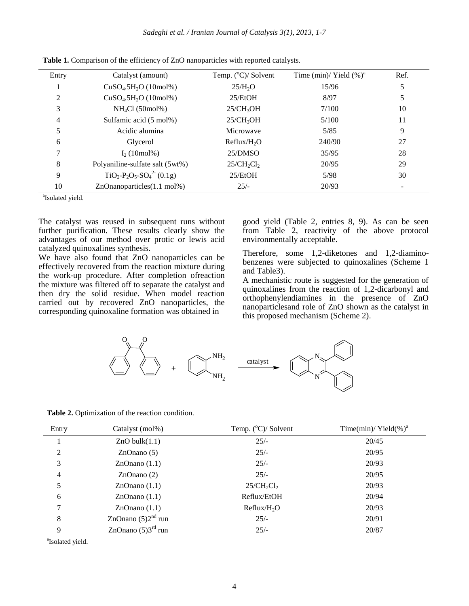| Entry | Catalyst (amount)               | Temp. $(^{\circ}C)/$ Solvent | Time (min)/ Yield $(\%)^a$ | Ref. |
|-------|---------------------------------|------------------------------|----------------------------|------|
|       | $CuSO4.5H2O (10mol%)$           | 25/H <sub>2</sub> O          | 15/96                      | 5    |
| 2     | $CuSO4.5H2O (10mol%)$           | 25/EtOH                      | 8/97                       | 5    |
| 3     | NH <sub>4</sub> Cl (50mol%)     | 25/CH <sub>3</sub> OH        | 7/100                      | 10   |
| 4     | Sulfamic acid (5 mol%)          | 25/CH <sub>3</sub> OH        | 5/100                      | 11   |
|       | Acidic alumina                  | Microwave                    | 5/85                       | 9    |
| 6     | Glycerol                        | Reflux/H <sub>2</sub> O      | 240/90                     | 27   |
|       | $I_2(10mol\%)$                  | 25/DMSO                      | 35/95                      | 28   |
| 8     | Polyaniline-sulfate salt (5wt%) | $25/CH_2Cl_2$                | 20/95                      | 29   |
| 9     | $TiO_2-P_2O_5-SO_4^{2} (0.1g)$  | 25/EtOH                      | 5/98                       | 30   |
| 10    | ZnOnanoparticles(1.1 mol%)      | $25/-$                       | 20/93                      |      |

**Table 1.** Comparison of the efficiency of ZnO nanoparticles with reported catalysts.

a Isolated yield.

The catalyst was reused in subsequent runs without further purification. These results clearly show the advantages of our method over protic or lewis acid catalyzed quinoxalines synthesis.

We have also found that ZnO nanoparticles can be effectively recovered from the reaction mixture during the work-up procedure. After completion ofreaction the mixture was filtered off to separate the catalyst and then dry the solid residue. When model reaction carried out by recovered ZnO nanoparticles, the corresponding quinoxaline formation was obtained in

good yield (Table 2, entries 8, 9). As can be seen from Table 2, reactivity of the above protocol environmentally acceptable.

Therefore, some 1,2-diketones and 1,2-diaminobenzenes were subjected to quinoxalines (Scheme 1 and Table3).

A mechanistic route is suggested for the generation of quinoxalines from the reaction of 1,2-dicarbonyl and orthophenylendiamines in the presence of ZnO nanoparticlesand role of ZnO shown as the catalyst in this proposed mechanism (Scheme 2).



**Table 2.** Optimization of the reaction condition.

| Entry          | Catalyst (mol%)                | Temp. $(^{\circ}C)/$ Solvent | Time(min)/ Yield(%) <sup>a</sup> |
|----------------|--------------------------------|------------------------------|----------------------------------|
|                | $ZnO$ bulk $(1.1)$             | $25/-$                       | 20/45                            |
| 2              | ZnOnano(5)                     | $25/-$                       | 20/95                            |
| 3              | ZnOnano(1.1)                   | $25/-$                       | 20/93                            |
| $\overline{4}$ | ZnOnano(2)                     | $25/-$                       | 20/95                            |
| 5              | ZnOnano(1.1)                   | $25/CH_2Cl_2$                | 20/93                            |
| 6              | ZnOnano(1.1)                   | Reflux/EtOH                  | 20/94                            |
| 7              | ZnOnano(1.1)                   | Reflux/H <sub>2</sub> O      | 20/93                            |
| 8              | ZnOnano $(5)2nd$ run           | $25/-$                       | 20/91                            |
| 9              | ZnOnano $(5)3^{\text{rd}}$ run | $25/-$                       | 20/87                            |

<sup>a</sup>Isolated yield.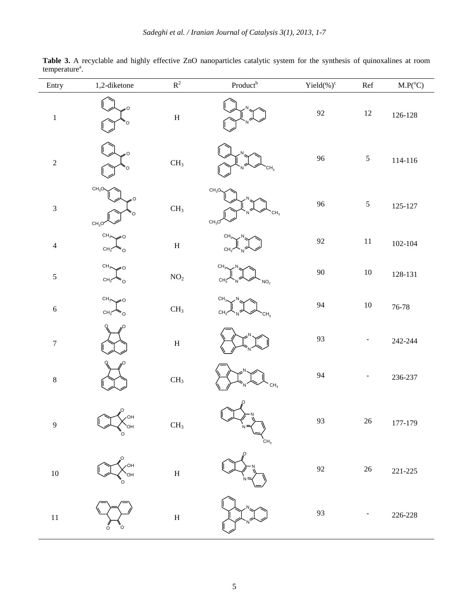| Entry                    | 1,2-diketone                                  | $\mathbf{R}^2$            | $Product^{b}$                                                          | Yield $(\%)^c$ | $\operatorname{Ref}$ | $\text{M.P}({}^{\text{o}}\text{C})$ |
|--------------------------|-----------------------------------------------|---------------------------|------------------------------------------------------------------------|----------------|----------------------|-------------------------------------|
| $\,1$                    | O<br>O                                        | $\boldsymbol{\mathrm{H}}$ |                                                                        | $\mathbf{92}$  | 12                   | $126 - 128$                         |
| $\sqrt{2}$               | n                                             | $\rm CH_{3}$              | CH <sub>3</sub>                                                        | 96             | $\mathfrak{S}$       | $114 - 116$                         |
| 3                        | CH <sub>3</sub> O<br>CH <sub>3</sub> C        | $\rm CH_{3}$              | CH <sub>3</sub> O <sub>4</sub><br>CH <sub>3</sub><br>CH <sub>3</sub> O | $96\,$         | $\mathfrak{S}$       | $125 - 127$                         |
| $\overline{\mathcal{L}}$ | CH <sub>3</sub><br>CH <sub>3</sub><br>$\circ$ | $\, {\rm H}$              | CН<br>CH <sub>3</sub>                                                  | $\mathbf{92}$  | $11\,$               | $102 - 104$                         |
| 5                        | $CH_3$<br>۰O<br>$CH_3$<br>Ö                   | $\mathrm{NO}_2$           | CH <sub>3</sub><br>CН<br>NO <sub>2</sub>                               | $90\,$         | $10\,$               | $128 - 131$                         |
| $\sqrt{6}$               | $CH_3\diagdown$<br>6<br>$CH_3$<br>°o          | $\rm CH_{3}$              | CH <sub>3</sub><br>CH<br>CH <sub>3</sub>                               | 94             | $10\,$               | $76 - 78$                           |
| $\overline{7}$           |                                               | $\boldsymbol{\mathrm{H}}$ |                                                                        | 93             |                      | $242 - 244$                         |
| $\,$ 8 $\,$              |                                               | CH <sub>3</sub>           | CH <sub>3</sub>                                                        | 94             | -                    | 236-237                             |
| $\overline{9}$           | $\sim$ $\ell$ oh<br>OH<br>O                   | CH <sub>3</sub>           | N<br>CH <sub>3</sub>                                                   | 93             | $26\,$               | 177-179                             |
| $10\,$                   | OН                                            | $\boldsymbol{\mathrm{H}}$ |                                                                        | 92             | $26\,$               | $221 - 225$                         |
| $11\,$                   | O<br>O                                        | $\boldsymbol{\mathrm{H}}$ |                                                                        | 93             |                      | $226 - 228$                         |

Table 3. A recyclable and highly effective ZnO nanoparticles catalytic system for the synthesis of quinoxalines at room temperature<sup>a</sup>.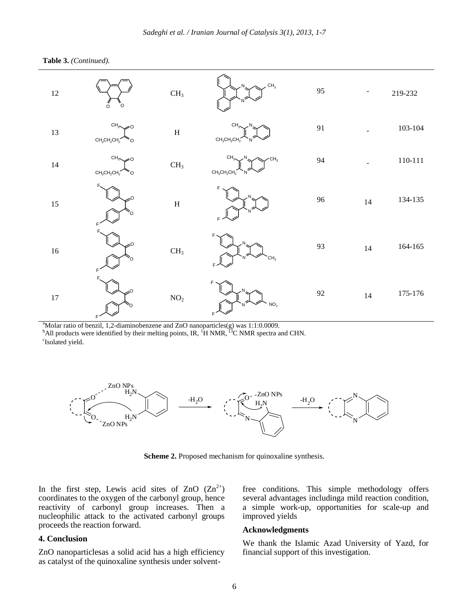



<sup>a</sup>Molar ratio of benzil, 1,2-diaminobenzene and ZnO nanoparticles(g) was 1:1:0.0009.

 $<sup>b</sup>$ All products were identified by their melting points, IR,  $<sup>1</sup>H NMR$ ,  $<sup>13</sup>C NMR$  spectra and CHN.</sup></sup></sup> <sup>c</sup>Isolated yield.



**Scheme 2.** Proposed mechanism for quinoxaline synthesis.

In the first step, Lewis acid sites of ZnO  $(Zn^{2+})$ coordinates to the oxygen of the carbonyl group, hence reactivity of carbonyl group increases. Then a nucleophilic attack to the activated carbonyl groups proceeds the reaction forward.

#### **4. Conclusion**

ZnO nanoparticlesas a solid acid has a high efficiency as catalyst of the quinoxaline synthesis under solventfree conditions. This simple methodology offers several advantages includinga mild reaction condition, a simple work-up, opportunities for scale-up and improved yields

#### **Acknowledgments**

We thank the Islamic Azad University of Yazd, for financial support of this investigation.